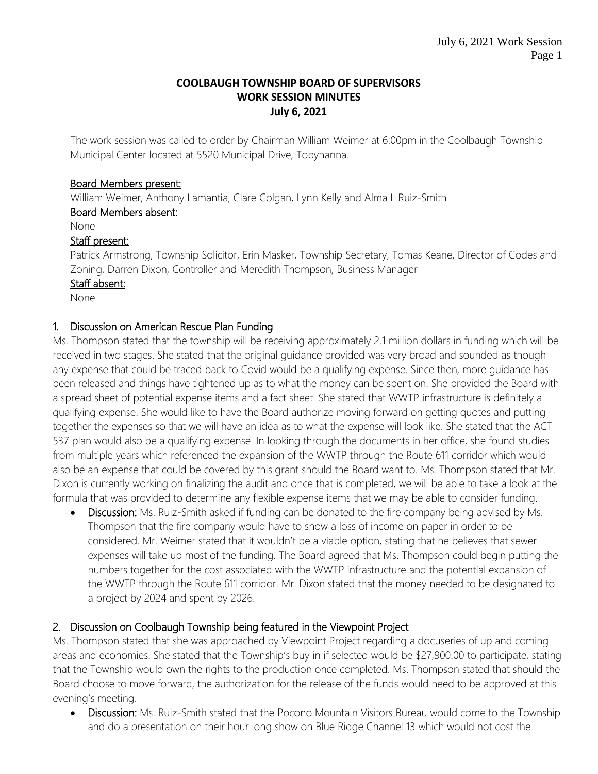#### **COOLBAUGH TOWNSHIP BOARD OF SUPERVISORS WORK SESSION MINUTES July 6, 2021**

The work session was called to order by Chairman William Weimer at 6:00pm in the Coolbaugh Township Municipal Center located at 5520 Municipal Drive, Tobyhanna.

## Board Members present:

William Weimer, Anthony Lamantia, Clare Colgan, Lynn Kelly and Alma I. Ruiz-Smith

### Board Members absent:

None

# Staff present:

Patrick Armstrong, Township Solicitor, Erin Masker, Township Secretary, Tomas Keane, Director of Codes and Zoning, Darren Dixon, Controller and Meredith Thompson, Business Manager

### Staff absent:

None

# 1. Discussion on American Rescue Plan Funding

Ms. Thompson stated that the township will be receiving approximately 2.1 million dollars in funding which will be received in two stages. She stated that the original guidance provided was very broad and sounded as though any expense that could be traced back to Covid would be a qualifying expense. Since then, more guidance has been released and things have tightened up as to what the money can be spent on. She provided the Board with a spread sheet of potential expense items and a fact sheet. She stated that WWTP infrastructure is definitely a qualifying expense. She would like to have the Board authorize moving forward on getting quotes and putting together the expenses so that we will have an idea as to what the expense will look like. She stated that the ACT 537 plan would also be a qualifying expense. In looking through the documents in her office, she found studies from multiple years which referenced the expansion of the WWTP through the Route 611 corridor which would also be an expense that could be covered by this grant should the Board want to. Ms. Thompson stated that Mr. Dixon is currently working on finalizing the audit and once that is completed, we will be able to take a look at the formula that was provided to determine any flexible expense items that we may be able to consider funding.

• Discussion: Ms. Ruiz-Smith asked if funding can be donated to the fire company being advised by Ms. Thompson that the fire company would have to show a loss of income on paper in order to be considered. Mr. Weimer stated that it wouldn't be a viable option, stating that he believes that sewer expenses will take up most of the funding. The Board agreed that Ms. Thompson could begin putting the numbers together for the cost associated with the WWTP infrastructure and the potential expansion of the WWTP through the Route 611 corridor. Mr. Dixon stated that the money needed to be designated to a project by 2024 and spent by 2026.

# 2. Discussion on Coolbaugh Township being featured in the Viewpoint Project

Ms. Thompson stated that she was approached by Viewpoint Project regarding a docuseries of up and coming areas and economies. She stated that the Township's buy in if selected would be \$27,900.00 to participate, stating that the Township would own the rights to the production once completed. Ms. Thompson stated that should the Board choose to move forward, the authorization for the release of the funds would need to be approved at this evening's meeting.

• Discussion: Ms. Ruiz-Smith stated that the Pocono Mountain Visitors Bureau would come to the Township and do a presentation on their hour long show on Blue Ridge Channel 13 which would not cost the